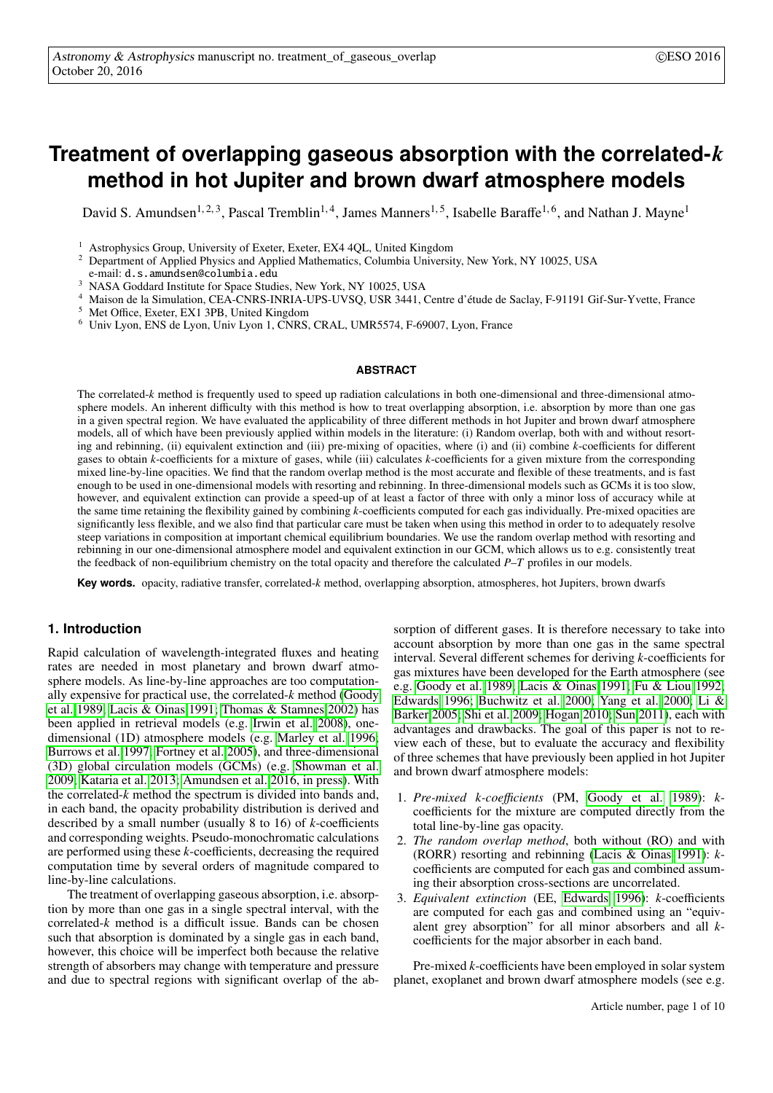# **Treatment of overlapping gaseous absorption with the correlated-***k* **method in hot Jupiter and brown dwarf atmosphere models**

David S. Amundsen<sup>1, 2, 3</sup>, Pascal Tremblin<sup>1, 4</sup>, James Manners<sup>1, 5</sup>, Isabelle Baraffe<sup>1, 6</sup>, and Nathan J. Mayne<sup>1</sup>

<sup>2</sup> Department of Applied Physics and Applied Mathematics, Columbia University, New York, NY 10025, USA

e-mail: d.s.amundsen@columbia.edu

- <sup>3</sup> NASA Goddard Institute for Space Studies, New York, NY 10025, USA
- <sup>4</sup> Maison de la Simulation, CEA-CNRS-INRIA-UPS-UVSQ, USR 3441, Centre d'étude de Saclay, F-91191 Gif-Sur-Yvette, France
- <sup>5</sup> Met Office, Exeter, EX1 3PB, United Kingdom
- <sup>6</sup> Univ Lyon, ENS de Lyon, Univ Lyon 1, CNRS, CRAL, UMR5574, F-69007, Lyon, France

# **ABSTRACT**

The correlated-*k* method is frequently used to speed up radiation calculations in both one-dimensional and three-dimensional atmosphere models. An inherent difficulty with this method is how to treat overlapping absorption, i.e. absorption by more than one gas in a given spectral region. We have evaluated the applicability of three different methods in hot Jupiter and brown dwarf atmosphere models, all of which have been previously applied within models in the literature: (i) Random overlap, both with and without resorting and rebinning, (ii) equivalent extinction and (iii) pre-mixing of opacities, where (i) and (ii) combine *k*-coefficients for different gases to obtain *k*-coefficients for a mixture of gases, while (iii) calculates *k*-coefficients for a given mixture from the corresponding mixed line-by-line opacities. We find that the random overlap method is the most accurate and flexible of these treatments, and is fast enough to be used in one-dimensional models with resorting and rebinning. In three-dimensional models such as GCMs it is too slow, however, and equivalent extinction can provide a speed-up of at least a factor of three with only a minor loss of accuracy while at the same time retaining the flexibility gained by combining *k*-coefficients computed for each gas individually. Pre-mixed opacities are significantly less flexible, and we also find that particular care must be taken when using this method in order to to adequately resolve steep variations in composition at important chemical equilibrium boundaries. We use the random overlap method with resorting and rebinning in our one-dimensional atmosphere model and equivalent extinction in our GCM, which allows us to e.g. consistently treat the feedback of non-equilibrium chemistry on the total opacity and therefore the calculated *P*–*T* profiles in our models.

**Key words.** opacity, radiative transfer, correlated-*k* method, overlapping absorption, atmospheres, hot Jupiters, brown dwarfs

# **1. Introduction**

Rapid calculation of wavelength-integrated fluxes and heating rates are needed in most planetary and brown dwarf atmosphere models. As line-by-line approaches are too computationally expensive for practical use, the correlated-*k* method [\(Goody](#page-9-0) [et al. 1989;](#page-9-0) [Lacis & Oinas 1991;](#page-9-1) [Thomas & Stamnes 2002\)](#page-9-2) has been applied in retrieval models (e.g. [Irwin et al. 2008\)](#page-9-3), onedimensional (1D) atmosphere models (e.g. [Marley et al. 1996;](#page-9-4) [Burrows et al. 1997;](#page-9-5) [Fortney et al. 2005\)](#page-9-6), and three-dimensional (3D) global circulation models (GCMs) (e.g. [Showman et al.](#page-9-7) [2009;](#page-9-7) [Kataria et al. 2013;](#page-9-8) [Amundsen et al. 2016, in press\)](#page-9-9). With the correlated-*k* method the spectrum is divided into bands and, in each band, the opacity probability distribution is derived and described by a small number (usually 8 to 16) of *k*-coefficients and corresponding weights. Pseudo-monochromatic calculations are performed using these *k*-coefficients, decreasing the required computation time by several orders of magnitude compared to line-by-line calculations.

The treatment of overlapping gaseous absorption, i.e. absorption by more than one gas in a single spectral interval, with the correlated-*k* method is a difficult issue. Bands can be chosen such that absorption is dominated by a single gas in each band, however, this choice will be imperfect both because the relative strength of absorbers may change with temperature and pressure and due to spectral regions with significant overlap of the ab-

sorption of different gases. It is therefore necessary to take into account absorption by more than one gas in the same spectral interval. Several different schemes for deriving *k*-coefficients for gas mixtures have been developed for the Earth atmosphere (see e.g. [Goody et al. 1989;](#page-9-0) [Lacis & Oinas 1991;](#page-9-1) [Fu & Liou 1992;](#page-9-10) [Edwards 1996;](#page-9-11) [Buchwitz et al. 2000;](#page-9-12) [Yang et al. 2000;](#page-9-13) [Li &](#page-9-14) [Barker 2005;](#page-9-14) [Shi et al. 2009;](#page-9-15) [Hogan 2010;](#page-9-16) [Sun 2011\)](#page-9-17), each with advantages and drawbacks. The goal of this paper is not to review each of these, but to evaluate the accuracy and flexibility of three schemes that have previously been applied in hot Jupiter and brown dwarf atmosphere models:

- 1. *Pre-mixed k-coe*ffi*cients* (PM, [Goody et al. 1989\)](#page-9-0): *k*coefficients for the mixture are computed directly from the total line-by-line gas opacity.
- 2. *The random overlap method*, both without (RO) and with (RORR) resorting and rebinning [\(Lacis & Oinas 1991\)](#page-9-1): *k*coefficients are computed for each gas and combined assuming their absorption cross-sections are uncorrelated.
- 3. *Equivalent extinction* (EE, [Edwards 1996\)](#page-9-11): *k*-coefficients are computed for each gas and combined using an "equivalent grey absorption" for all minor absorbers and all *k*coefficients for the major absorber in each band.

Pre-mixed *k*-coefficients have been employed in solar system planet, exoplanet and brown dwarf atmosphere models (see e.g.

<sup>&</sup>lt;sup>1</sup> Astrophysics Group, University of Exeter, Exeter, EX4 4QL, United Kingdom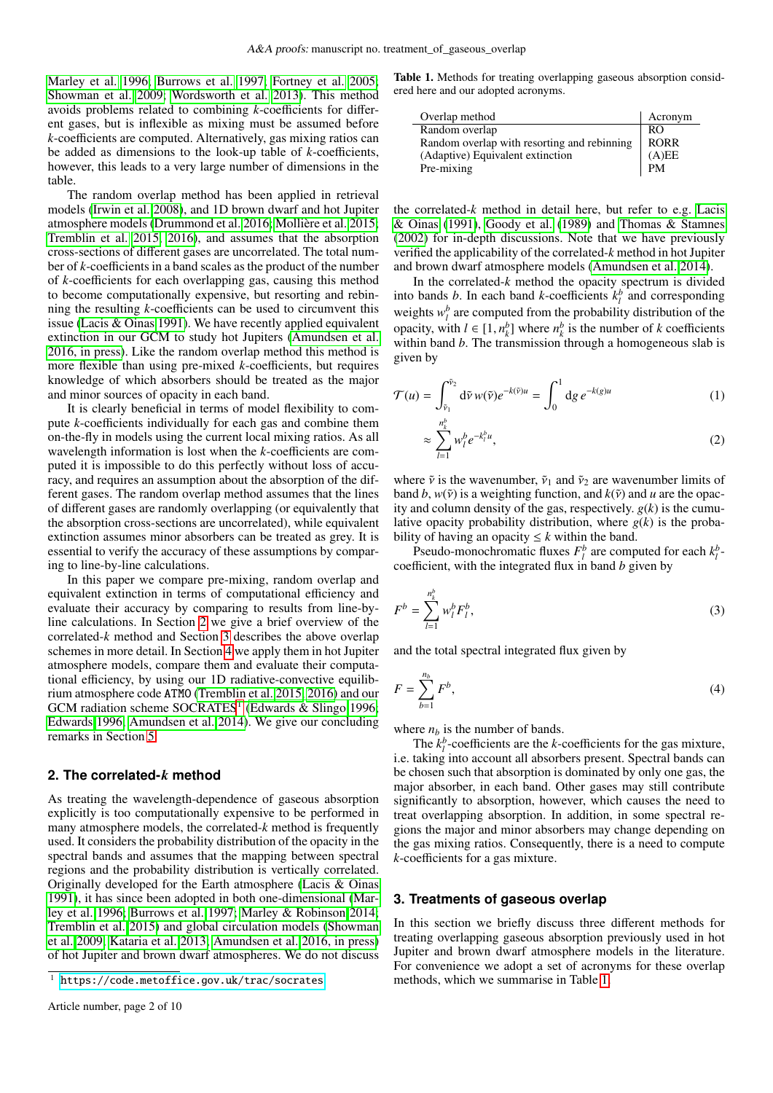[Marley et al. 1996;](#page-9-4) [Burrows et al. 1997;](#page-9-5) [Fortney et al. 2005;](#page-9-6) [Showman et al. 2009;](#page-9-7) [Wordsworth et al. 2013\)](#page-9-18). This method avoids problems related to combining *k*-coefficients for different gases, but is inflexible as mixing must be assumed before *k*-coefficients are computed. Alternatively, gas mixing ratios can be added as dimensions to the look-up table of *k*-coefficients, however, this leads to a very large number of dimensions in the table.

The random overlap method has been applied in retrieval models [\(Irwin et al. 2008\)](#page-9-3), and 1D brown dwarf and hot Jupiter atmosphere models [\(Drummond et al. 2016;](#page-9-19) [Mollière et al. 2015;](#page-9-20) [Tremblin et al. 2015,](#page-9-21) [2016\)](#page-9-22), and assumes that the absorption cross-sections of different gases are uncorrelated. The total number of *k*-coefficients in a band scales as the product of the number of *k*-coefficients for each overlapping gas, causing this method to become computationally expensive, but resorting and rebinning the resulting *k*-coefficients can be used to circumvent this issue [\(Lacis & Oinas 1991\)](#page-9-1). We have recently applied equivalent extinction in our GCM to study hot Jupiters [\(Amundsen et al.](#page-9-9) [2016, in press\)](#page-9-9). Like the random overlap method this method is more flexible than using pre-mixed *k*-coefficients, but requires knowledge of which absorbers should be treated as the major and minor sources of opacity in each band.

It is clearly beneficial in terms of model flexibility to compute *k*-coefficients individually for each gas and combine them on-the-fly in models using the current local mixing ratios. As all wavelength information is lost when the *k*-coefficients are computed it is impossible to do this perfectly without loss of accuracy, and requires an assumption about the absorption of the different gases. The random overlap method assumes that the lines of different gases are randomly overlapping (or equivalently that the absorption cross-sections are uncorrelated), while equivalent extinction assumes minor absorbers can be treated as grey. It is essential to verify the accuracy of these assumptions by comparing to line-by-line calculations.

In this paper we compare pre-mixing, random overlap and equivalent extinction in terms of computational efficiency and evaluate their accuracy by comparing to results from line-byline calculations. In Section [2](#page-1-0) we give a brief overview of the correlated-*k* method and Section [3](#page-1-1) describes the above overlap schemes in more detail. In Section [4](#page-4-0) we apply them in hot Jupiter atmosphere models, compare them and evaluate their computational efficiency, by using our 1D radiative-convective equilibrium atmosphere code ATMO [\(Tremblin et al. 2015,](#page-9-21) [2016\)](#page-9-22) and our GCM radiation scheme SOCRATES<sup>[1](#page-1-2)</sup> [\(Edwards & Slingo 1996;](#page-9-23) [Edwards 1996;](#page-9-11) [Amundsen et al. 2014\)](#page-9-24). We give our concluding remarks in Section [5.](#page-7-0)

# <span id="page-1-0"></span>**2. The correlated-***k* **method**

As treating the wavelength-dependence of gaseous absorption explicitly is too computationally expensive to be performed in many atmosphere models, the correlated-*k* method is frequently used. It considers the probability distribution of the opacity in the spectral bands and assumes that the mapping between spectral regions and the probability distribution is vertically correlated. Originally developed for the Earth atmosphere [\(Lacis & Oinas](#page-9-1) [1991\)](#page-9-1), it has since been adopted in both one-dimensional [\(Mar](#page-9-4)[ley et al. 1996;](#page-9-4) [Burrows et al. 1997;](#page-9-5) [Marley & Robinson 2014;](#page-9-25) [Tremblin et al. 2015\)](#page-9-21) and global circulation models [\(Showman](#page-9-7) [et al. 2009;](#page-9-7) [Kataria et al. 2013;](#page-9-8) [Amundsen et al. 2016, in press\)](#page-9-9) of hot Jupiter and brown dwarf atmospheres. We do not discuss

<span id="page-1-3"></span>Table 1. Methods for treating overlapping gaseous absorption considered here and our adopted acronyms.

| Overlap method                              | Acronym     |
|---------------------------------------------|-------------|
| Random overlap                              | RO.         |
| Random overlap with resorting and rebinning | <b>RORR</b> |
| (Adaptive) Equivalent extinction            | (A)EE       |
| Pre-mixing                                  | <b>PM</b>   |

the correlated- $k$  method in detail here, but refer to e.g. [Lacis](#page-9-1) [& Oinas](#page-9-1) [\(1991\)](#page-9-1), [Goody et al.](#page-9-0) [\(1989\)](#page-9-0) and [Thomas & Stamnes](#page-9-2) [\(2002\)](#page-9-2) for in-depth discussions. Note that we have previously verified the applicability of the correlated-*k* method in hot Jupiter and brown dwarf atmosphere models [\(Amundsen et al. 2014\)](#page-9-24).

In the correlated- $k$  method the opacity spectrum is divided into bands *b*. In each band *k*-coefficients  $k_l^b$  and corresponding weights  $w_l^b$  are computed from the probability distribution of the opacity, with *l* ∈ [1,  $n_k^b$ ] where  $n_k^b$  is the number of *k* coefficients within band *b*. The transmission through a homogeneous slab is within band *b*. The transmission through a homogeneous slab is given by

$$
\mathcal{T}(u) = \int_{\tilde{\nu}_1}^{\tilde{\nu}_2} d\tilde{\nu} w(\tilde{\nu}) e^{-k(\tilde{\nu})u} = \int_0^1 dg \, e^{-k(g)u} \tag{1}
$$

<span id="page-1-5"></span><span id="page-1-4"></span>
$$
\approx \sum_{l=1}^{n_k^b} w_l^b e^{-k_l^b u},\tag{2}
$$

where  $\tilde{v}$  is the wavenumber,  $\tilde{v}_1$  and  $\tilde{v}_2$  are wavenumber limits of band *b*,  $w(\tilde{v})$  is a weighting function, and  $k(\tilde{v})$  and *u* are the opacity and column density of the gas, respectively.  $g(k)$  is the cumulative opacity probability distribution, where  $g(k)$  is the probability of having an opacity  $\leq k$  within the band.

<span id="page-1-6"></span>Pseudo-monochromatic fluxes  $F_l^b$  are computed for each  $k_l^b$ . coefficient, with the integrated flux in band *b* given by

$$
F^{b} = \sum_{l=1}^{n_k^{b}} w_l^{b} F_l^{b},
$$
\n(3)

<span id="page-1-7"></span>and the total spectral integrated flux given by

$$
F = \sum_{b=1}^{n_b} F^b,\tag{4}
$$

where  $n_b$  is the number of bands.

The  $k_l^b$ -coefficients are the *k*-coefficients for the gas mixture, i.e. taking into account all absorbers present. Spectral bands can be chosen such that absorption is dominated by only one gas, the major absorber, in each band. Other gases may still contribute significantly to absorption, however, which causes the need to treat overlapping absorption. In addition, in some spectral regions the major and minor absorbers may change depending on the gas mixing ratios. Consequently, there is a need to compute *k*-coefficients for a gas mixture.

# <span id="page-1-1"></span>**3. Treatments of gaseous overlap**

In this section we briefly discuss three different methods for treating overlapping gaseous absorption previously used in hot Jupiter and brown dwarf atmosphere models in the literature. For convenience we adopt a set of acronyms for these overlap methods, which we summarise in Table [1.](#page-1-3)

<span id="page-1-2"></span><sup>1</sup> <https://code.metoffice.gov.uk/trac/socrates>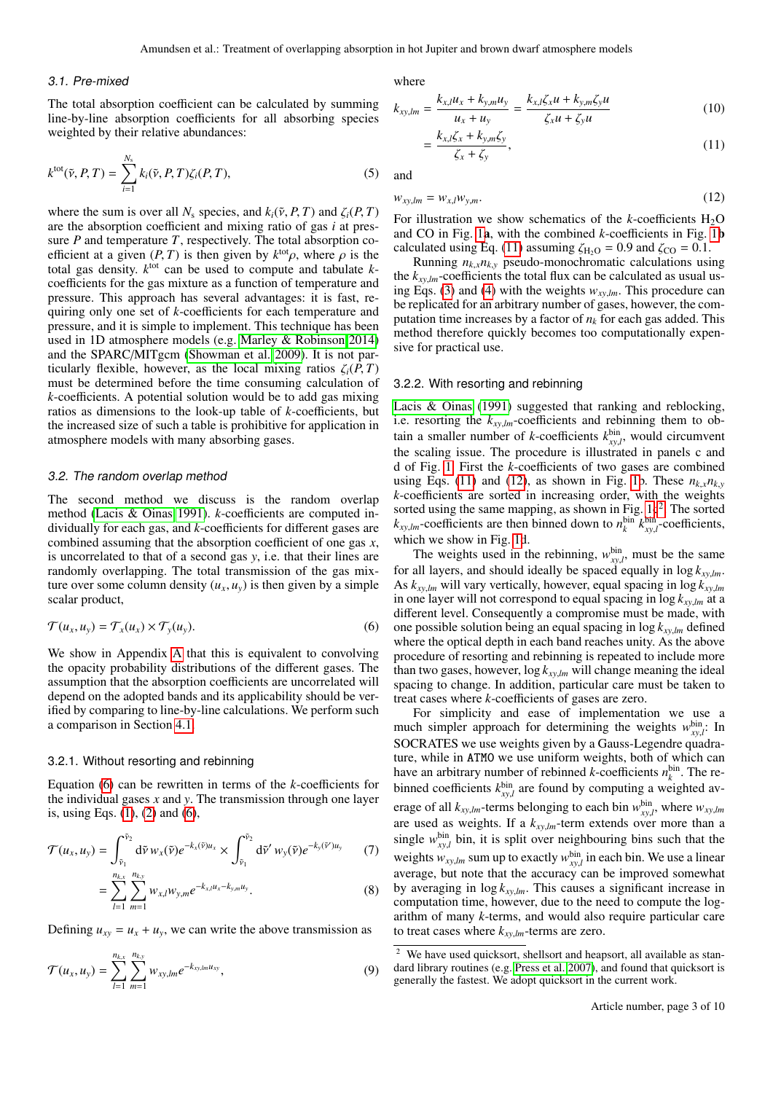### 3.1. Pre-mixed

The total absorption coefficient can be calculated by summing line-by-line absorption coefficients for all absorbing species weighted by their relative abundances:

$$
k^{\text{tot}}(\tilde{\nu}, P, T) = \sum_{i=1}^{N_s} k_i(\tilde{\nu}, P, T) \zeta_i(P, T), \qquad (5)
$$

where the sum is over all  $N_s$  species, and  $k_i(\tilde{v}, P, T)$  and  $\zeta_i(P, T)$ are the absorption coefficient and mixing ratio of gas *i* at pressure *P* and temperature *T*, respectively. The total absorption coefficient at a given  $(P, T)$  is then given by  $k^{\text{tot}} \rho$ , where  $\rho$  is the total gas density  $k^{\text{tot}}$  can be used to compute and tabulate  $k$ total gas density.  $k^{\text{tot}}$  can be used to compute and tabulate  $k$ coefficients for the gas mixture as a function of temperature and pressure. This approach has several advantages: it is fast, requiring only one set of *k*-coefficients for each temperature and pressure, and it is simple to implement. This technique has been used in 1D atmosphere models (e.g. [Marley & Robinson 2014\)](#page-9-25) and the SPARC/MITgcm [\(Showman et al. 2009\)](#page-9-7). It is not particularly flexible, however, as the local mixing ratios  $\zeta_i(P, T)$ must be determined before the time consuming calculation of *k*-coefficients. A potential solution would be to add gas mixing ratios as dimensions to the look-up table of *k*-coefficients, but the increased size of such a table is prohibitive for application in atmosphere models with many absorbing gases.

### 3.2. The random overlap method

The second method we discuss is the random overlap method [\(Lacis & Oinas 1991\)](#page-9-1). *k*-coefficients are computed individually for each gas, and *k*-coefficients for different gases are combined assuming that the absorption coefficient of one gas *x*, is uncorrelated to that of a second gas *y*, i.e. that their lines are randomly overlapping. The total transmission of the gas mixture over some column density  $(u_x, u_y)$  is then given by a simple scalar product,

<span id="page-2-0"></span>
$$
\mathcal{T}(u_x, u_y) = \mathcal{T}_x(u_x) \times \mathcal{T}_y(u_y). \tag{6}
$$

We show in Appendix [A](#page-8-0) that this is equivalent to convolving the opacity probability distributions of the different gases. The assumption that the absorption coefficients are uncorrelated will depend on the adopted bands and its applicability should be verified by comparing to line-by-line calculations. We perform such a comparison in Section [4.1.](#page-4-1)

## 3.2.1. Without resorting and rebinning

Equation [\(6\)](#page-2-0) can be rewritten in terms of the *k*-coefficients for the individual gases *x* and *y*. The transmission through one layer is, using Eqs. [\(1\)](#page-1-4), [\(2\)](#page-1-5) and [\(6\)](#page-2-0),

$$
\mathcal{T}(u_x, u_y) = \int_{\tilde{\nu}_1}^{\tilde{\nu}_2} d\tilde{\nu} w_x(\tilde{\nu}) e^{-k_x(\tilde{\nu})u_x} \times \int_{\tilde{\nu}_1}^{\tilde{\nu}_2} d\tilde{\nu}' w_y(\tilde{\nu}) e^{-k_y(\tilde{\nu}')u_y}
$$
(7)

$$
= \sum_{l=1}^{n_{k,x}} \sum_{m=1}^{n_{k,y}} w_{x,l} w_{y,m} e^{-k_{x,l} u_x - k_{y,m} u_y}.
$$
 (8)

Defining  $u_{xy} = u_x + u_y$ , we can write the above transmission as

$$
\mathcal{T}(u_x, u_y) = \sum_{l=1}^{n_{k,x}} \sum_{m=1}^{n_{k,y}} w_{xy,lm} e^{-k_{xy,lm} u_{xy}}, \qquad (9)
$$

where

$$
k_{xy,lm} = \frac{k_{x,l}u_x + k_{y,m}u_y}{u_x + u_y} = \frac{k_{x,l}\zeta_x u + k_{y,m}\zeta_y u}{\zeta_x u + \zeta_y u}
$$
(10)

<span id="page-2-1"></span>
$$
=\frac{k_{x,l}\zeta_x+k_{y,m}\zeta_y}{\zeta_x+\zeta_y},\tag{11}
$$

<span id="page-2-2"></span>and

$$
w_{xy,lm} = w_{x,l} w_{y,m}.\tag{12}
$$

For illustration we show schematics of the  $k$ -coefficients  $H_2O$ and CO in Fig. [1](#page-3-0)a, with the combined *k*-coefficients in Fig. [1](#page-3-0)b calculated using Eq. [\(11\)](#page-2-1) assuming  $\zeta_{\text{H}_2\text{O}} = 0.9$  and  $\zeta_{\text{CO}} = 0.1$ .

Running  $n_{k,x}n_{k,y}$  pseudo-monochromatic calculations using the  $k_{xy,lm}$ -coefficients the total flux can be calculated as usual using Eqs. [\(3\)](#page-1-6) and [\(4\)](#page-1-7) with the weights *<sup>w</sup>xy*,*lm*. This procedure can be replicated for an arbitrary number of gases, however, the computation time increases by a factor of  $n_k$  for each gas added. This method therefore quickly becomes too computationally expensive for practical use.

# <span id="page-2-4"></span>3.2.2. With resorting and rebinning

[Lacis & Oinas](#page-9-1) [\(1991\)](#page-9-1) suggested that ranking and reblocking, i.e. resorting the *<sup>k</sup>xy*,*lm*-coefficients and rebinning them to obtain a smaller number of *k*-coefficients  $k_{vv}^{bin}$ , would circumvent the scaling issue. The procedure is illustrated in panels c and d of Fig. [1.](#page-3-0) First the *k*-coefficients of two gases are combined using Eqs. [\(11\)](#page-2-1) and [\(12\)](#page-2-2), as shown in Fig. [1b](#page-3-0). These  $n_{k,x}n_{k,y}$ *k*-coefficients are sorted in increasing order, with the weights sorted using the same mapping, as shown in Fig.  $1c<sup>2</sup>$  $1c<sup>2</sup>$  $1c<sup>2</sup>$ . The sorted  $k_{xy,lm}$ -coefficients are then binned down to  $n_k^{\text{bin}} k_{xy,l}^{\text{bin}}$ -coefficients, which we show in Fig. [1d](#page-3-0).

The weights used in the rebinning,  $w_{xy}^{bin}$ , must be the same<br>all layers, and should ideally be spaced equally in  $\log k$ . for all layers, and should ideally be spaced equally in log *<sup>k</sup>xy*,*lm*. As *<sup>k</sup>xy*,*lm* will vary vertically, however, equal spacing in log *<sup>k</sup>xy*,*lm* in one layer will not correspond to equal spacing in log *<sup>k</sup>xy*,*lm* at a different level. Consequently a compromise must be made, with one possible solution being an equal spacing in log *<sup>k</sup>xy*,*lm* defined where the optical depth in each band reaches unity. As the above procedure of resorting and rebinning is repeated to include more than two gases, however, log *<sup>k</sup>xy*,*lm* will change meaning the ideal spacing to change. In addition, particular care must be taken to treat cases where *k*-coefficients of gases are zero.

For simplicity and ease of implementation we use a much simpler approach for determining the weights  $w_{yy}^{\text{bin}}$ . In *xy<sub>xy</sub>*, *li*SOCRATES we use weights given by a Gauss-Legendre quadrature, while in ATMO we use uniform weights, both of which can have an arbitrary number of rebinned *k*-coefficients  $n_k^{\text{bin}}$ . The rebinned coefficients  $k_{xy,l}^{bin}$  are found by computing a weighted av-<br>*xyzz of all behavior to seek* him while where we erage of all  $k_{xy,lm}$ -terms belonging to each bin  $w_{xy,lm}^{\text{bin}}$ , where  $w_{xy,lm}$ <br>are used as weights If a  $k_{xy,lm}$  term extends over more than a are used as weights. If a *<sup>k</sup>xy*,*lm*-term extends over more than a single  $w_{\text{rv}}^{\text{bin}}$  bin, it is split over neighbouring bins such that the *xy*,*l* weights  $w_{xy,lm}$  sum up to exactly  $w_{xy,l}^{bin}$  in each bin. We use a linear average but note that the accuracy can be improved somewhat average, but note that the accuracy can be improved somewhat by averaging in  $\log k_{xy,lm}$ . This causes a significant increase in computation time, however, due to the need to compute the logarithm of many *k*-terms, and would also require particular care to treat cases where *<sup>k</sup>xy*,*lm*-terms are zero.

<span id="page-2-3"></span><sup>&</sup>lt;sup>2</sup> We have used quicksort, shellsort and heapsort, all available as standard library routines (e.g. [Press et al. 2007\)](#page-9-26), and found that quicksort is generally the fastest. We adopt quicksort in the current work.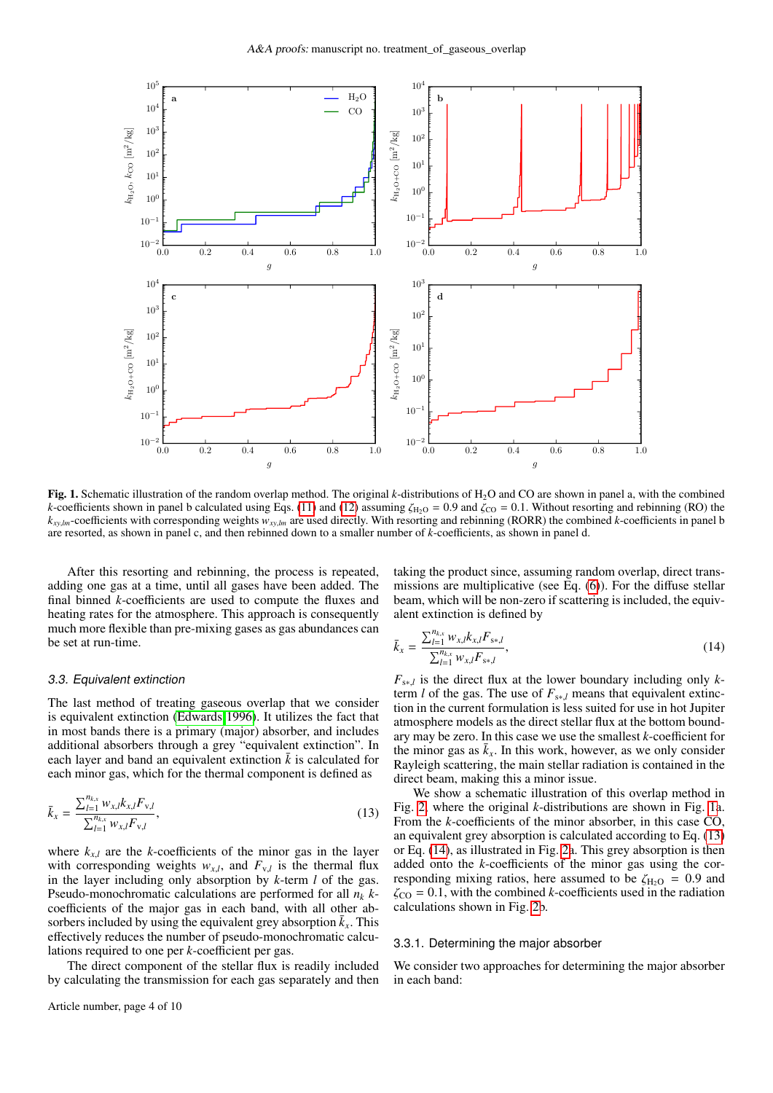

<span id="page-3-0"></span>Fig. 1. Schematic illustration of the random overlap method. The original *k*-distributions of H<sub>2</sub>O and CO are shown in panel a, with the combined *k*-coefficients shown in panel b calculated using Eqs. [\(11\)](#page-2-1) and [\(12\)](#page-2-2) assuming  $\zeta_{\text{H}_2\text{O}} = 0.9$  and  $\zeta_{\text{CO}} = 0.1$ . Without resorting and rebinning (RO) the  $k_{x}$ , *hm*-coefficients with corresponding weights  $w_{xy}$ , *lm* are used directly. With resorting and rebinning (RORR) the combined *k*-coefficients in panel b are resorted, as shown in panel c, and then rebinned down to a smaller number of *k*-coefficients, as shown in panel d.

After this resorting and rebinning, the process is repeated, adding one gas at a time, until all gases have been added. The final binned *k*-coefficients are used to compute the fluxes and heating rates for the atmosphere. This approach is consequently much more flexible than pre-mixing gases as gas abundances can be set at run-time.

#### 3.3. Equivalent extinction

The last method of treating gaseous overlap that we consider is equivalent extinction [\(Edwards 1996\)](#page-9-11). It utilizes the fact that in most bands there is a primary (major) absorber, and includes additional absorbers through a grey "equivalent extinction". In each layer and band an equivalent extinction  $\bar{k}$  is calculated for each minor gas, which for the thermal component is defined as

$$
\bar{k}_x = \frac{\sum_{l=1}^{n_{k,x}} w_{x,l} k_{x,l} F_{y,l}}{\sum_{l=1}^{n_{k,x}} w_{x,l} F_{y,l}},
$$
\n(13)

where  $k_{x,l}$  are the *k*-coefficients of the minor gas in the layer with corresponding weights  $w_{x,l}$ , and  $F_{y,l}$  is the thermal flux<br>in the layer including only absorption by k term *l* of the gas in the layer including only absorption by *k*-term *l* of the gas. Pseudo-monochromatic calculations are performed for all *n<sup>k</sup> k*coefficients of the major gas in each band, with all other absorbers included by using the equivalent grey absorption  $\bar{k}_x$ . This effectively reduces the number of pseudo-monochromatic calculations required to one per *k*-coefficient per gas.

The direct component of the stellar flux is readily included by calculating the transmission for each gas separately and then

taking the product since, assuming random overlap, direct transmissions are multiplicative (see Eq. [\(6\)](#page-2-0)). For the diffuse stellar beam, which will be non-zero if scattering is included, the equivalent extinction is defined by

<span id="page-3-2"></span>
$$
\bar{k}_x = \frac{\sum_{l=1}^{n_{k,x}} w_{x,l} k_{x,l} F_{s*,l}}{\sum_{l=1}^{n_{k,x}} w_{x,l} F_{s*,l}},
$$
\n(14)

 $F_{s*,l}$  is the direct flux at the lower boundary including only *k*-<br>term *l* of the gas. The use of  $F_{l}$ , means that equivalent extincterm *l* of the gas. The use of  $F_{s * l}$  means that equivalent extinction in the current formulation is less suited for use in hot Jupiter atmosphere models as the direct stellar flux at the bottom boundary may be zero. In this case we use the smallest *k*-coefficient for the minor gas as  $\bar{k}_x$ . In this work, however, as we only consider Rayleigh scattering, the main stellar radiation is contained in the direct beam, making this a minor issue.

<span id="page-3-1"></span>We show a schematic illustration of this overlap method in Fig. [2,](#page-4-2) where the original *k*-distributions are shown in Fig. [1a](#page-3-0). From the *k*-coefficients of the minor absorber, in this case CO, an equivalent grey absorption is calculated according to Eq. [\(13\)](#page-3-1) or Eq. [\(14\)](#page-3-2), as illustrated in Fig. [2a](#page-4-2). This grey absorption is then added onto the *k*-coefficients of the minor gas using the corresponding mixing ratios, here assumed to be  $\zeta_{H_2O} = 0.9$  and  $\zeta_{\text{CO}} = 0.1$ , with the combined *k*-coefficients used in the radiation calculations shown in Fig. [2b](#page-4-2).

## 3.3.1. Determining the major absorber

We consider two approaches for determining the major absorber in each band: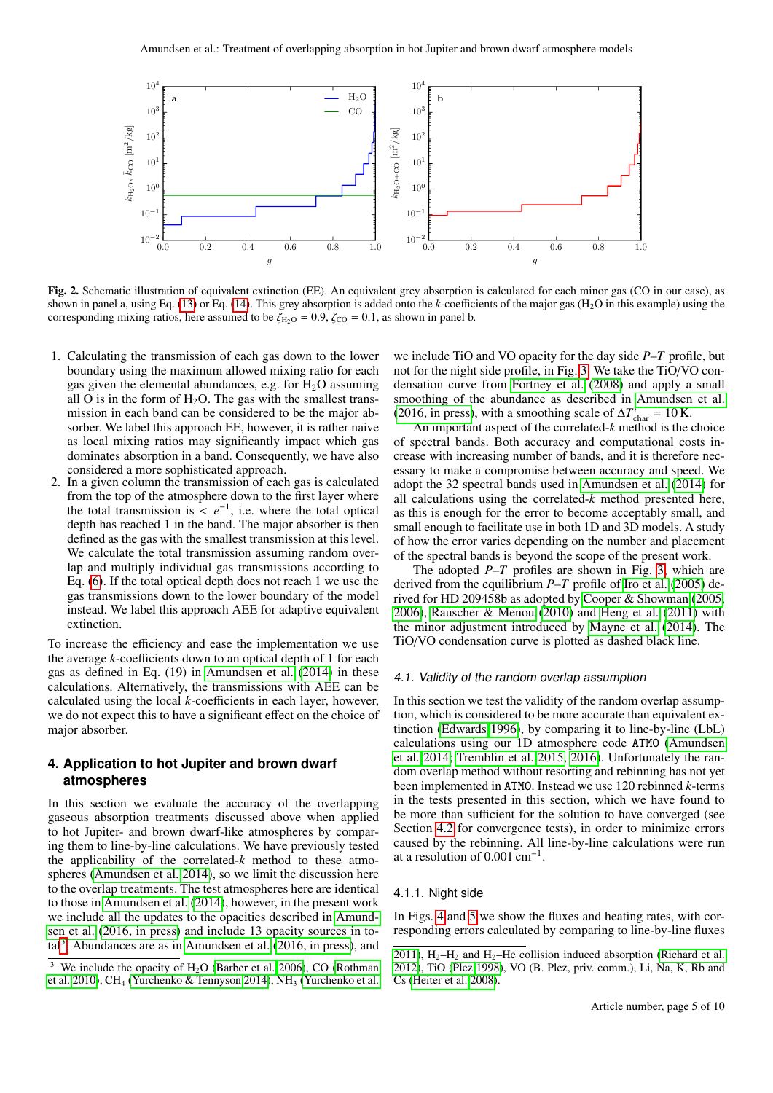

<span id="page-4-2"></span>Fig. 2. Schematic illustration of equivalent extinction (EE). An equivalent grey absorption is calculated for each minor gas (CO in our case), as shown in panel a, using Eq. [\(13\)](#page-3-1) or Eq. [\(14\)](#page-3-2). This grey absorption is added onto the *k*-coefficients of the major gas (H2O in this example) using the corresponding mixing ratios, here assumed to be  $\zeta_{\text{H}_2\text{O}} = 0.9$ ,  $\zeta_{\text{CO}} = 0.1$ , as shown in panel b.

- 1. Calculating the transmission of each gas down to the lower boundary using the maximum allowed mixing ratio for each gas given the elemental abundances, e.g. for  $H_2O$  assuming all O is in the form of  $H_2O$ . The gas with the smallest transmission in each band can be considered to be the major absorber. We label this approach EE, however, it is rather naive as local mixing ratios may significantly impact which gas dominates absorption in a band. Consequently, we have also considered a more sophisticated approach.
- 2. In a given column the transmission of each gas is calculated from the top of the atmosphere down to the first layer where the total transmission is  $\leq e^{-1}$ , i.e. where the total optical depth has reached 1 in the hand. The major absorber is then depth has reached 1 in the band. The major absorber is then defined as the gas with the smallest transmission at this level. We calculate the total transmission assuming random overlap and multiply individual gas transmissions according to Eq. [\(6\)](#page-2-0). If the total optical depth does not reach 1 we use the gas transmissions down to the lower boundary of the model instead. We label this approach AEE for adaptive equivalent extinction.

To increase the efficiency and ease the implementation we use the average *k*-coefficients down to an optical depth of 1 for each gas as defined in Eq. (19) in [Amundsen et al.](#page-9-24) [\(2014\)](#page-9-24) in these calculations. Alternatively, the transmissions with AEE can be calculated using the local *k*-coefficients in each layer, however, we do not expect this to have a significant effect on the choice of major absorber.

# <span id="page-4-0"></span>**4. Application to hot Jupiter and brown dwarf atmospheres**

In this section we evaluate the accuracy of the overlapping gaseous absorption treatments discussed above when applied to hot Jupiter- and brown dwarf-like atmospheres by comparing them to line-by-line calculations. We have previously tested the applicability of the correlated-*k* method to these atmospheres [\(Amundsen et al. 2014\)](#page-9-24), so we limit the discussion here to the overlap treatments. The test atmospheres here are identical to those in [Amundsen et al.](#page-9-24) [\(2014\)](#page-9-24), however, in the present work we include all the updates to the opacities described in [Amund](#page-9-9)[sen et al.](#page-9-9) [\(2016, in press\)](#page-9-9) and include 13 opacity sources in to- $\text{tal}^3$  $\text{tal}^3$ . Abundances are as in [Amundsen et al.](#page-9-9) [\(2016, in press\)](#page-9-9), and

we include TiO and VO opacity for the day side *P*–*T* profile, but not for the night side profile, in Fig. [3.](#page-5-0) We take the TiO/VO condensation curve from [Fortney et al.](#page-9-31) [\(2008\)](#page-9-31) and apply a small smoothing of the abundance as described in [Amundsen et al.](#page-9-9) [\(2016, in press\)](#page-9-9), with a smoothing scale of  $\Delta T_{\text{char}}^i = 10 \text{ K}.$ 

An important aspect of the correlated-*k* method is the choice of spectral bands. Both accuracy and computational costs increase with increasing number of bands, and it is therefore necessary to make a compromise between accuracy and speed. We adopt the 32 spectral bands used in [Amundsen et al.](#page-9-24) [\(2014\)](#page-9-24) for all calculations using the correlated-*k* method presented here, as this is enough for the error to become acceptably small, and small enough to facilitate use in both 1D and 3D models. A study of how the error varies depending on the number and placement of the spectral bands is beyond the scope of the present work.

The adopted *P*–*T* profiles are shown in Fig. [3,](#page-5-0) which are derived from the equilibrium *P*–*T* profile of [Iro et al.](#page-9-32) [\(2005\)](#page-9-32) derived for HD 209458b as adopted by [Cooper & Showman](#page-9-33) [\(2005,](#page-9-33) [2006\)](#page-9-34), [Rauscher & Menou](#page-9-35) [\(2010\)](#page-9-35) and [Heng et al.](#page-9-36) [\(2011\)](#page-9-36) with the minor adjustment introduced by [Mayne et al.](#page-9-37) [\(2014\)](#page-9-37). The TiO/VO condensation curve is plotted as dashed black line.

### <span id="page-4-1"></span>4.1. Validity of the random overlap assumption

In this section we test the validity of the random overlap assumption, which is considered to be more accurate than equivalent extinction [\(Edwards 1996\)](#page-9-11), by comparing it to line-by-line (LbL) calculations using our 1D atmosphere code ATMO [\(Amundsen](#page-9-24) [et al. 2014;](#page-9-24) [Tremblin et al. 2015,](#page-9-21) [2016\)](#page-9-22). Unfortunately the random overlap method without resorting and rebinning has not yet been implemented in ATMO. Instead we use 120 rebinned *k*-terms in the tests presented in this section, which we have found to be more than sufficient for the solution to have converged (see Section [4.2](#page-6-0) for convergence tests), in order to minimize errors caused by the rebinning. All line-by-line calculations were run at a resolution of  $0.001 \text{ cm}^{-1}$ .

# 4.1.1. Night side

In Figs. [4](#page-5-1) and [5](#page-5-2) we show the fluxes and heating rates, with corresponding errors calculated by comparing to line-by-line fluxes

<span id="page-4-3"></span><sup>&</sup>lt;sup>3</sup> We include the opacity of  $H_2O$  [\(Barber et al. 2006\)](#page-9-27), CO [\(Rothman](#page-9-28) [et al. 2010\)](#page-9-28), CH<sub>4</sub> [\(Yurchenko & Tennyson 2014\)](#page-9-29), NH<sub>3</sub> [\(Yurchenko et al.](#page-9-30)

[<sup>2011\)</sup>](#page-9-30),  $H_2-H_2$  and  $H_2$ –He collision induced absorption [\(Richard et al.](#page-9-38) [2012\)](#page-9-38), TiO [\(Plez 1998\)](#page-9-39), VO (B. Plez, priv. comm.), Li, Na, K, Rb and Cs [\(Heiter et al. 2008\)](#page-9-40).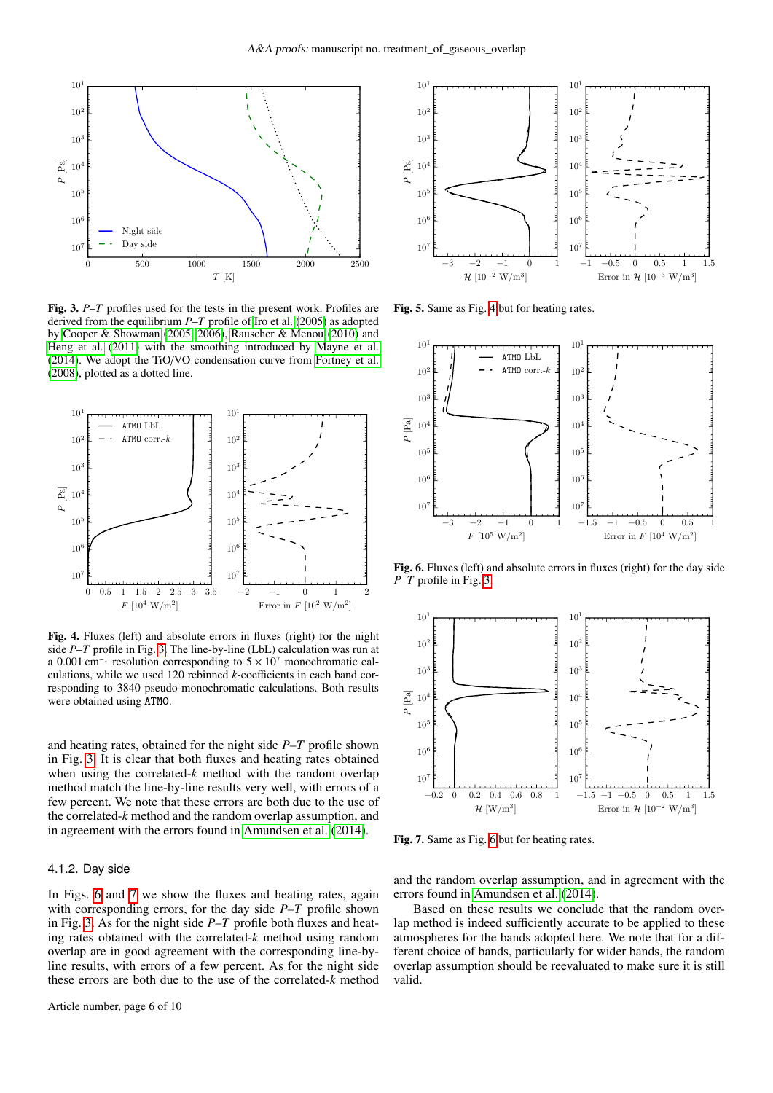

<span id="page-5-0"></span>Fig. 3. *P*–*T* profiles used for the tests in the present work. Profiles are derived from the equilibrium *P*–*T* profile of [Iro et al.](#page-9-32) [\(2005\)](#page-9-32) as adopted by [Cooper & Showman](#page-9-33) [\(2005,](#page-9-33) [2006\)](#page-9-34), [Rauscher & Menou](#page-9-35) [\(2010\)](#page-9-35) and [Heng et al.](#page-9-36) [\(2011\)](#page-9-36) with the smoothing introduced by [Mayne et al.](#page-9-37) [\(2014\)](#page-9-37). We adopt the TiO/VO condensation curve from [Fortney et al.](#page-9-31) [\(2008\)](#page-9-31), plotted as a dotted line.



<span id="page-5-1"></span>Fig. 4. Fluxes (left) and absolute errors in fluxes (right) for the night side *P*–*T* profile in Fig. [3.](#page-5-0) The line-by-line (LbL) calculation was run at a 0.001 cm<sup>-1</sup> resolution corresponding to  $5 \times 10^7$  monochromatic cal-<br>culations, while we used 120 rebinned *k*-coefficients in each band corculations, while we used 120 rebinned *k*-coefficients in each band corresponding to 3840 pseudo-monochromatic calculations. Both results were obtained using ATMO.

and heating rates, obtained for the night side *P*–*T* profile shown in Fig. [3.](#page-5-0) It is clear that both fluxes and heating rates obtained when using the correlated-*k* method with the random overlap method match the line-by-line results very well, with errors of a few percent. We note that these errors are both due to the use of the correlated-*k* method and the random overlap assumption, and in agreement with the errors found in [Amundsen et al.](#page-9-24) [\(2014\)](#page-9-24).

#### 4.1.2. Day side

In Figs. [6](#page-5-3) and [7](#page-5-4) we show the fluxes and heating rates, again with corresponding errors, for the day side *P*–*T* profile shown in Fig. [3.](#page-5-0) As for the night side *P*–*T* profile both fluxes and heating rates obtained with the correlated-*k* method using random overlap are in good agreement with the corresponding line-byline results, with errors of a few percent. As for the night side these errors are both due to the use of the correlated-*k* method



<span id="page-5-2"></span>Fig. 5. Same as Fig. [4](#page-5-1) but for heating rates.



<span id="page-5-3"></span>Fig. 6. Fluxes (left) and absolute errors in fluxes (right) for the day side *P*–*T* profile in Fig. [3.](#page-5-0)



<span id="page-5-4"></span>Fig. 7. Same as Fig. [6](#page-5-3) but for heating rates.

and the random overlap assumption, and in agreement with the errors found in [Amundsen et al.](#page-9-24) [\(2014\)](#page-9-24).

Based on these results we conclude that the random overlap method is indeed sufficiently accurate to be applied to these atmospheres for the bands adopted here. We note that for a different choice of bands, particularly for wider bands, the random overlap assumption should be reevaluated to make sure it is still valid.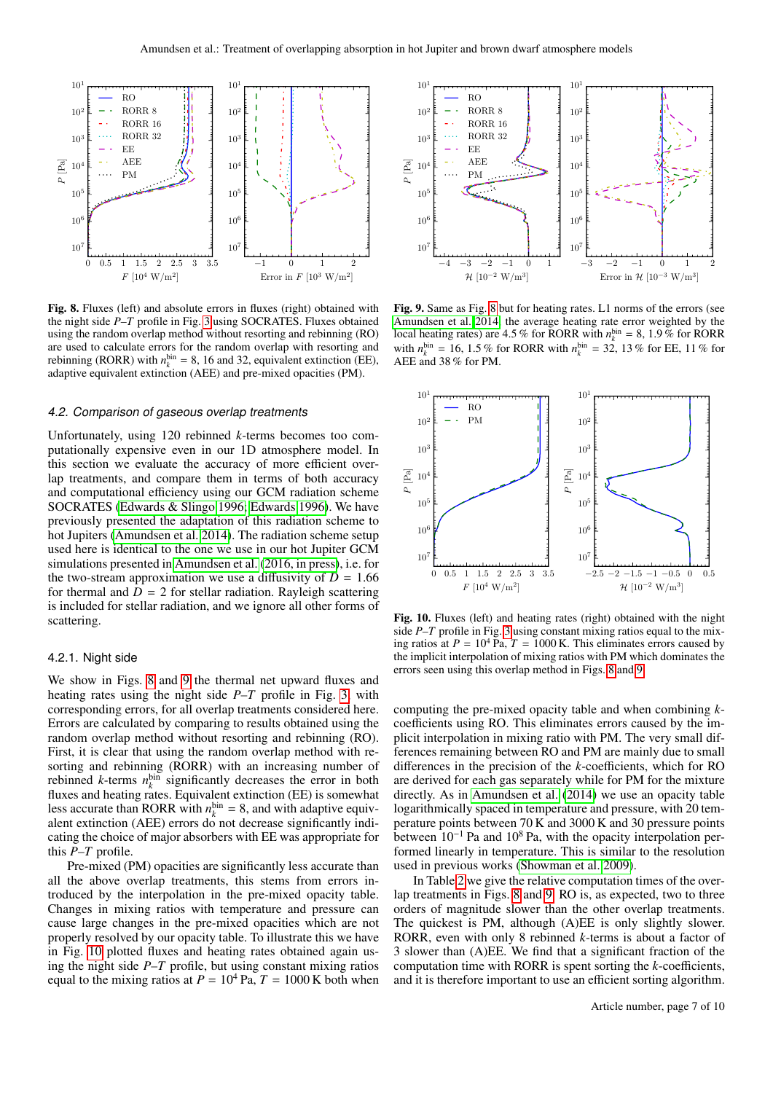

<span id="page-6-1"></span>Fig. 8. Fluxes (left) and absolute errors in fluxes (right) obtained with the night side *P*–*T* profile in Fig. [3](#page-5-0) using SOCRATES. Fluxes obtained using the random overlap method without resorting and rebinning (RO) are used to calculate errors for the random overlap with resorting and rebinning (RORR) with  $n_k^{\text{bin}} = 8$ , 16 and 32, equivalent extinction (EE), adaptive equivalent extinction (AEE) and pre-mixed opacities (PM).

### <span id="page-6-0"></span>4.2. Comparison of gaseous overlap treatments

Unfortunately, using 120 rebinned *k*-terms becomes too computationally expensive even in our 1D atmosphere model. In this section we evaluate the accuracy of more efficient overlap treatments, and compare them in terms of both accuracy and computational efficiency using our GCM radiation scheme SOCRATES [\(Edwards & Slingo 1996;](#page-9-23) [Edwards 1996\)](#page-9-11). We have previously presented the adaptation of this radiation scheme to hot Jupiters [\(Amundsen et al. 2014\)](#page-9-24). The radiation scheme setup used here is identical to the one we use in our hot Jupiter GCM simulations presented in [Amundsen et al.](#page-9-9) [\(2016, in press\)](#page-9-9), i.e. for the two-stream approximation we use a diffusivity of  $D = 1.66$ for thermal and  $D = 2$  for stellar radiation. Rayleigh scattering is included for stellar radiation, and we ignore all other forms of scattering.

# <span id="page-6-4"></span>4.2.1. Night side

We show in Figs. [8](#page-6-1) and [9](#page-6-2) the thermal net upward fluxes and heating rates using the night side *P*–*T* profile in Fig. [3,](#page-5-0) with corresponding errors, for all overlap treatments considered here. Errors are calculated by comparing to results obtained using the random overlap method without resorting and rebinning (RO). First, it is clear that using the random overlap method with resorting and rebinning (RORR) with an increasing number of rebinned *k*-terms  $n_k^{\text{bin}}$  significantly decreases the error in both fluxes and heating rates. Equivalent extinction (EE) is somewhat less accurate than RORR with  $n_k^{\text{bin}} = 8$ , and with adaptive equivalent extinction (AEE) errors do not decrease significantly indicating the choice of major absorbers with EE was appropriate for this *P*–*T* profile.

Pre-mixed (PM) opacities are significantly less accurate than all the above overlap treatments, this stems from errors introduced by the interpolation in the pre-mixed opacity table. Changes in mixing ratios with temperature and pressure can cause large changes in the pre-mixed opacities which are not properly resolved by our opacity table. To illustrate this we have in Fig. [10](#page-6-3) plotted fluxes and heating rates obtained again using the night side *P*–*T* profile, but using constant mixing ratios equal to the mixing ratios at  $P = 10^4$  Pa,  $T = 1000$  K both when



<span id="page-6-2"></span>Fig. 9. Same as Fig. [8](#page-6-1) but for heating rates. L1 norms of the errors (see [Amundsen et al. 2014,](#page-9-24) the average heating rate error weighted by the local heating rates) are  $4.5\%$  for RORR with  $n_k^{\text{bin}} = 8$ ,  $1.9\%$  for RORR with  $n_1^{\text{bin}} = 16$ ,  $1.5\%$  for PORR with  $n^{\text{bin}} = 32$ ,  $13\%$  for FE,  $11\%$  for with  $n_k^{\text{bin}} = 16, 1.5\%$  for RORR with  $n_k^{\text{bin}} = 32, 13\%$  for EE, 11 % for<br>AEE and 38 % for PM AEE and 38 % for PM.



<span id="page-6-3"></span>Fig. 10. Fluxes (left) and heating rates (right) obtained with the night side *P*–*T* profile in Fig. [3](#page-5-0) using constant mixing ratios equal to the mixing ratios at  $P = 10^4$  Pa,  $T = 1000$  K. This eliminates errors caused by the implicit interpolation of mixing ratios with PM which dominates the errors seen using this overlap method in Figs. [8](#page-6-1) and [9.](#page-6-2)

computing the pre-mixed opacity table and when combining *k*coefficients using RO. This eliminates errors caused by the implicit interpolation in mixing ratio with PM. The very small differences remaining between RO and PM are mainly due to small differences in the precision of the *k*-coefficients, which for RO are derived for each gas separately while for PM for the mixture directly. As in [Amundsen et al.](#page-9-24) [\(2014\)](#page-9-24) we use an opacity table logarithmically spaced in temperature and pressure, with 20 temperature points between 70 K and 3000 K and 30 pressure points between  $10^{-1}$  Pa and  $10^8$  Pa, with the opacity interpolation performed linearly in temperature. This is similar to the resolution used in previous works [\(Showman et al. 2009\)](#page-9-7).

In Table [2](#page-7-1) we give the relative computation times of the overlap treatments in Figs. [8](#page-6-1) and [9.](#page-6-2) RO is, as expected, two to three orders of magnitude slower than the other overlap treatments. The quickest is PM, although (A)EE is only slightly slower. RORR, even with only 8 rebinned *k*-terms is about a factor of 3 slower than (A)EE. We find that a significant fraction of the computation time with RORR is spent sorting the *k*-coefficients, and it is therefore important to use an efficient sorting algorithm.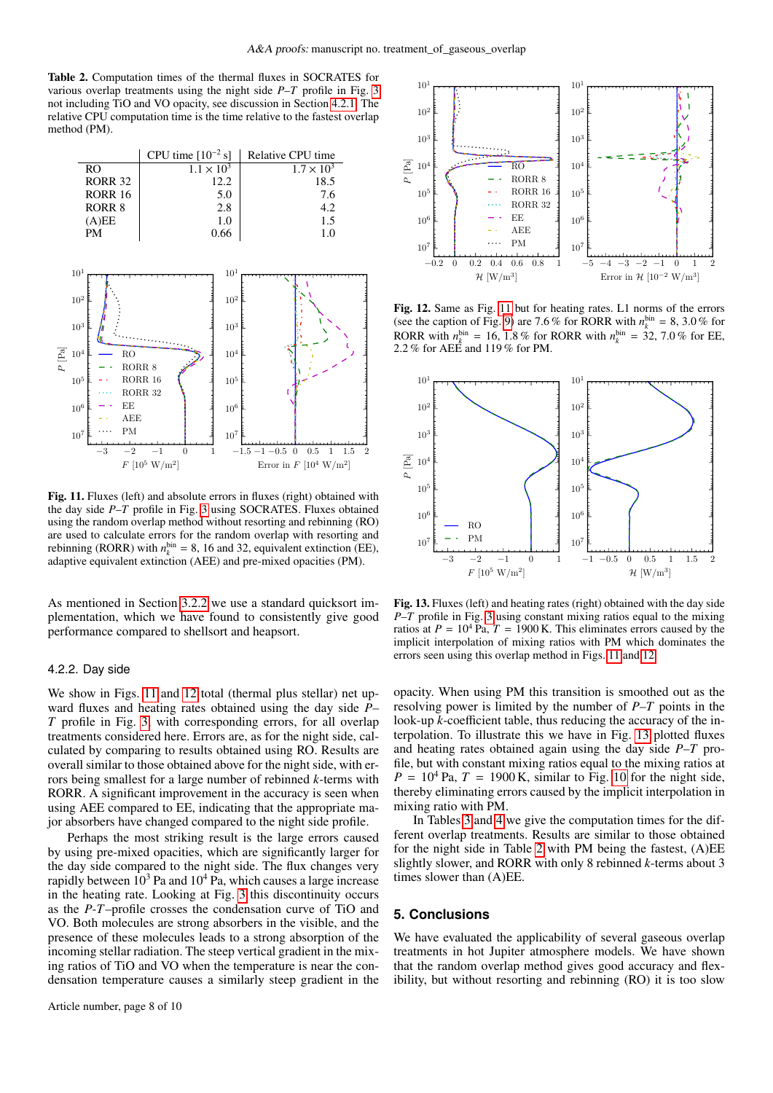<span id="page-7-1"></span>Table 2. Computation times of the thermal fluxes in SOCRATES for various overlap treatments using the night side *P*–*T* profile in Fig. [3](#page-5-0) not including TiO and VO opacity, see discussion in Section [4.2.1.](#page-6-4) The relative CPU computation time is the time relative to the fastest overlap method (PM).



<span id="page-7-2"></span>Fig. 11. Fluxes (left) and absolute errors in fluxes (right) obtained with the day side *P*–*T* profile in Fig. [3](#page-5-0) using SOCRATES. Fluxes obtained using the random overlap method without resorting and rebinning (RO) are used to calculate errors for the random overlap with resorting and rebinning (RORR) with  $n_k^{\text{bin}} = 8$ , 16 and 32, equivalent extinction (EE), adaptive equivalent extinction (AEE) and pre-mixed opacities (PM).

As mentioned in Section [3.2.2](#page-2-4) we use a standard quicksort implementation, which we have found to consistently give good performance compared to shellsort and heapsort.

#### <span id="page-7-5"></span>4.2.2. Day side

We show in Figs. [11](#page-7-2) and [12](#page-7-3) total (thermal plus stellar) net upward fluxes and heating rates obtained using the day side *P*– *T* profile in Fig. [3,](#page-5-0) with corresponding errors, for all overlap treatments considered here. Errors are, as for the night side, calculated by comparing to results obtained using RO. Results are overall similar to those obtained above for the night side, with errors being smallest for a large number of rebinned *k*-terms with RORR. A significant improvement in the accuracy is seen when using AEE compared to EE, indicating that the appropriate major absorbers have changed compared to the night side profile.

Perhaps the most striking result is the large errors caused by using pre-mixed opacities, which are significantly larger for the day side compared to the night side. The flux changes very rapidly between  $10^3$  Pa and  $10^4$  Pa, which causes a large increase in the heating rate. Looking at Fig. [3](#page-5-0) this discontinuity occurs as the *P*-*T*–profile crosses the condensation curve of TiO and VO. Both molecules are strong absorbers in the visible, and the presence of these molecules leads to a strong absorption of the incoming stellar radiation. The steep vertical gradient in the mixing ratios of TiO and VO when the temperature is near the condensation temperature causes a similarly steep gradient in the



<span id="page-7-3"></span>Fig. 12. Same as Fig. [11](#page-7-2) but for heating rates. L1 norms of the errors (see the caption of Fig. [9\)](#page-6-2) are 7.6 % for RORR with  $n_k^{\text{bin}} = 8, 3.0$  % for  $\text{ROBP}$  with  $n^{\text{bin}} = 16, 1.8$  % for  $\text{ROBP}$  with  $n^{\text{bin}} = 32, 7.0$  % for  $\text{EF}$ RORR with  $n_k^{\text{bin}} = 16$ , 1.8 % for RORR with  $n_k^{\text{bin}} = 32$ , 7.0 % for EE, 2.2 % for AEE and 119 % for PM <sup>2</sup>.2 % for AEE and 119 % for PM.



<span id="page-7-4"></span>Fig. 13. Fluxes (left) and heating rates (right) obtained with the day side *P*–*T* profile in Fig. [3](#page-5-0) using constant mixing ratios equal to the mixing ratios at  $P = 10^4$  Pa,  $T = 1900$  K. This eliminates errors caused by the implicit interpolation of mixing ratios with PM which dominates the errors seen using this overlap method in Figs. [11](#page-7-2) and [12.](#page-7-3)

opacity. When using PM this transition is smoothed out as the resolving power is limited by the number of *P*–*T* points in the look-up *k*-coefficient table, thus reducing the accuracy of the interpolation. To illustrate this we have in Fig. [13](#page-7-4) plotted fluxes and heating rates obtained again using the day side *P*–*T* profile, but with constant mixing ratios equal to the mixing ratios at  $P = 10^4$  $P = 10^4$  $P = 10^4$  Pa,  $T = 1900$  K, similar to Fig. 10 for the night side, thereby eliminating errors caused by the implicit interpolation in mixing ratio with PM.

In Tables [3](#page-8-1) and [4](#page-8-2) we give the computation times for the different overlap treatments. Results are similar to those obtained for the night side in Table [2](#page-7-1) with PM being the fastest, (A)EE slightly slower, and RORR with only 8 rebinned *k*-terms about 3 times slower than (A)EE.

# <span id="page-7-0"></span>**5. Conclusions**

We have evaluated the applicability of several gaseous overlap treatments in hot Jupiter atmosphere models. We have shown that the random overlap method gives good accuracy and flexibility, but without resorting and rebinning (RO) it is too slow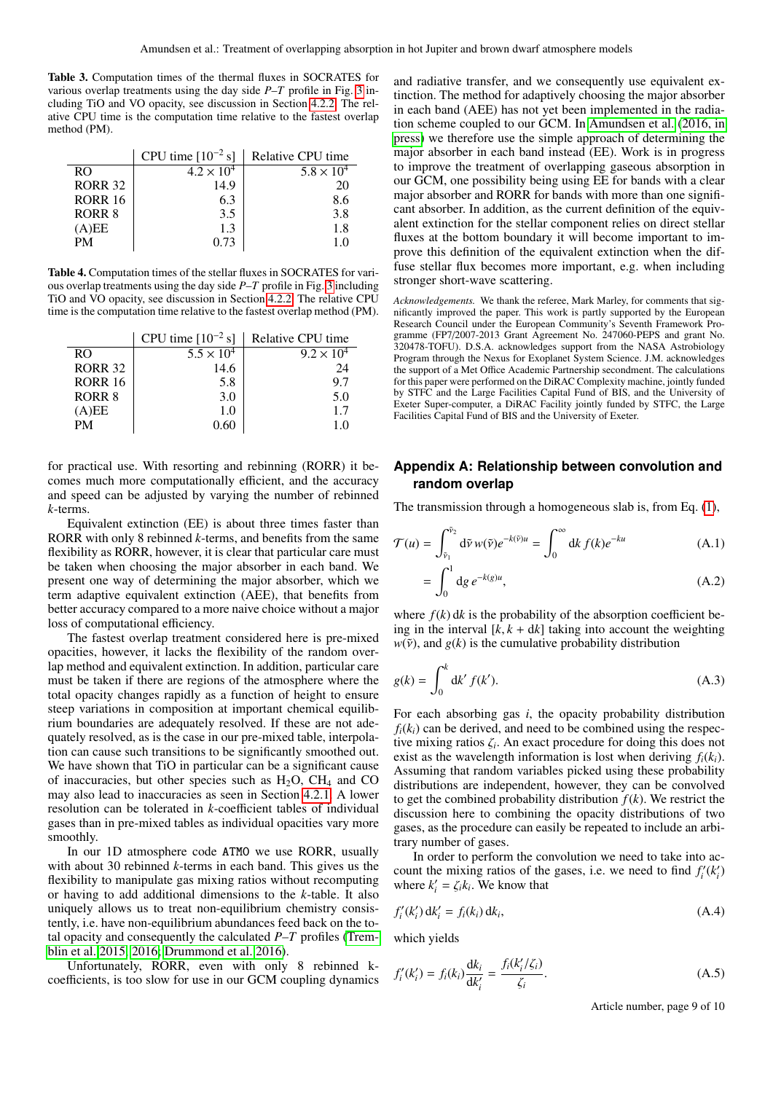<span id="page-8-1"></span>Table 3. Computation times of the thermal fluxes in SOCRATES for various overlap treatments using the day side *P*–*T* profile in Fig. [3](#page-5-0) including TiO and VO opacity, see discussion in Section [4.2.2.](#page-7-5) The relative CPU time is the computation time relative to the fastest overlap method (PM).

|                | CPU time $[10^{-2} s]$ | Relative CPU time   |
|----------------|------------------------|---------------------|
| RO.            | $4.2 \times 10^{4}$    | $5.8 \times 10^{4}$ |
| <b>RORR 32</b> | 14.9                   | 20                  |
| <b>RORR 16</b> | 6.3                    | 8.6                 |
| RORR 8         | 3.5                    | 3.8                 |
| (A)EE          | 1.3                    | 1.8                 |
| <b>PM</b>      | 0.73                   | 1.0                 |
|                |                        |                     |

<span id="page-8-2"></span>Table 4. Computation times of the stellar fluxes in SOCRATES for various overlap treatments using the day side *P*–*T* profile in Fig. [3](#page-5-0) including TiO and VO opacity, see discussion in Section [4.2.2.](#page-7-5) The relative CPU time is the computation time relative to the fastest overlap method (PM).

|                | CPU time $[10^{-2} s]$ | Relative CPU time   |
|----------------|------------------------|---------------------|
| RO.            | $5.5 \times 10^{4}$    | $9.2 \times 10^{4}$ |
| <b>RORR 32</b> | 14.6                   | 24                  |
| <b>RORR 16</b> | 5.8                    | 9.7                 |
| <b>RORR 8</b>  | 3.0                    | 5.0                 |
| (A)EE          | 1.0                    | 1.7                 |
| <b>PM</b>      | 0.60                   | 1.0                 |
|                |                        |                     |

for practical use. With resorting and rebinning (RORR) it becomes much more computationally efficient, and the accuracy and speed can be adjusted by varying the number of rebinned *k*-terms.

Equivalent extinction (EE) is about three times faster than RORR with only 8 rebinned *k*-terms, and benefits from the same flexibility as RORR, however, it is clear that particular care must be taken when choosing the major absorber in each band. We present one way of determining the major absorber, which we term adaptive equivalent extinction (AEE), that benefits from better accuracy compared to a more naive choice without a major loss of computational efficiency.

The fastest overlap treatment considered here is pre-mixed opacities, however, it lacks the flexibility of the random overlap method and equivalent extinction. In addition, particular care must be taken if there are regions of the atmosphere where the total opacity changes rapidly as a function of height to ensure steep variations in composition at important chemical equilibrium boundaries are adequately resolved. If these are not adequately resolved, as is the case in our pre-mixed table, interpolation can cause such transitions to be significantly smoothed out. We have shown that TiO in particular can be a significant cause of inaccuracies, but other species such as  $H_2O$ ,  $CH_4$  and CO may also lead to inaccuracies as seen in Section [4.2.1.](#page-6-4) A lower resolution can be tolerated in *k*-coefficient tables of individual gases than in pre-mixed tables as individual opacities vary more smoothly.

In our 1D atmosphere code ATMO we use RORR, usually with about 30 rebinned *k*-terms in each band. This gives us the flexibility to manipulate gas mixing ratios without recomputing or having to add additional dimensions to the *k*-table. It also uniquely allows us to treat non-equilibrium chemistry consistently, i.e. have non-equilibrium abundances feed back on the total opacity and consequently the calculated *P*–*T* profiles [\(Trem](#page-9-21)[blin et al. 2015,](#page-9-21) [2016;](#page-9-22) [Drummond et al. 2016\)](#page-9-19).

Unfortunately, RORR, even with only 8 rebinned kcoefficients, is too slow for use in our GCM coupling dynamics

and radiative transfer, and we consequently use equivalent extinction. The method for adaptively choosing the major absorber in each band (AEE) has not yet been implemented in the radiation scheme coupled to our GCM. In [Amundsen et al.](#page-9-9) [\(2016, in](#page-9-9) [press\)](#page-9-9) we therefore use the simple approach of determining the major absorber in each band instead (EE). Work is in progress to improve the treatment of overlapping gaseous absorption in our GCM, one possibility being using EE for bands with a clear major absorber and RORR for bands with more than one significant absorber. In addition, as the current definition of the equivalent extinction for the stellar component relies on direct stellar fluxes at the bottom boundary it will become important to improve this definition of the equivalent extinction when the diffuse stellar flux becomes more important, e.g. when including stronger short-wave scattering.

*Acknowledgements.* We thank the referee, Mark Marley, for comments that significantly improved the paper. This work is partly supported by the European Research Council under the European Community's Seventh Framework Programme (FP7/2007-2013 Grant Agreement No. 247060-PEPS and grant No. 320478-TOFU). D.S.A. acknowledges support from the NASA Astrobiology Program through the Nexus for Exoplanet System Science. J.M. acknowledges the support of a Met Office Academic Partnership secondment. The calculations for this paper were performed on the DiRAC Complexity machine, jointly funded by STFC and the Large Facilities Capital Fund of BIS, and the University of Exeter Super-computer, a DiRAC Facility jointly funded by STFC, the Large Facilities Capital Fund of BIS and the University of Exeter.

# <span id="page-8-0"></span>**Appendix A: Relationship between convolution and random overlap**

The transmission through a homogeneous slab is, from Eq. [\(1\)](#page-1-4),

$$
\mathcal{T}(u) = \int_{\tilde{\nu}_1}^{\tilde{\nu}_2} d\tilde{\nu} w(\tilde{\nu}) e^{-k(\tilde{\nu})u} = \int_0^{\infty} dk f(k) e^{-ku}
$$
 (A.1)

$$
=\int_0^1\mathrm{d}g\,e^{-k(g)u},\tag{A.2}
$$

where  $f(k)$  dk is the probability of the absorption coefficient being in the interval  $[k, k + dk]$  taking into account the weighting  $w(\tilde{v})$ , and  $g(k)$  is the cumulative probability distribution

$$
g(k) = \int_0^k \mathrm{d}k' \, f(k'). \tag{A.3}
$$

For each absorbing gas *i*, the opacity probability distribution  $f_i(k_i)$  can be derived, and need to be combined using the respective mixing ratios  $\zeta_i$ . An exact procedure for doing this does not exist as the wavelength information is lost when deriving  $f_i(k_i)$ exist as the wavelength information is lost when deriving  $f_i(k_i)$ . Assuming that random variables picked using these probability distributions are independent, however, they can be convolved to get the combined probability distribution  $f(k)$ . We restrict the discussion here to combining the opacity distributions of two gases, as the procedure can easily be repeated to include an arbitrary number of gases.

In order to perform the convolution we need to take into account the mixing ratios of the gases, i.e. we need to find  $f_i'(k_i')$ where  $k'_i = \zeta_i k_i$ . We know that

$$
f_i'(k_i') \, \mathrm{d}k_i' = f_i(k_i) \, \mathrm{d}k_i,\tag{A.4}
$$

which yields

$$
f'_{i}(k'_{i}) = f_{i}(k_{i}) \frac{\mathrm{d}k_{i}}{\mathrm{d}k'_{i}} = \frac{f_{i}(k'_{i}/\zeta_{i})}{\zeta_{i}}.
$$
 (A.5)

Article number, page 9 of 10